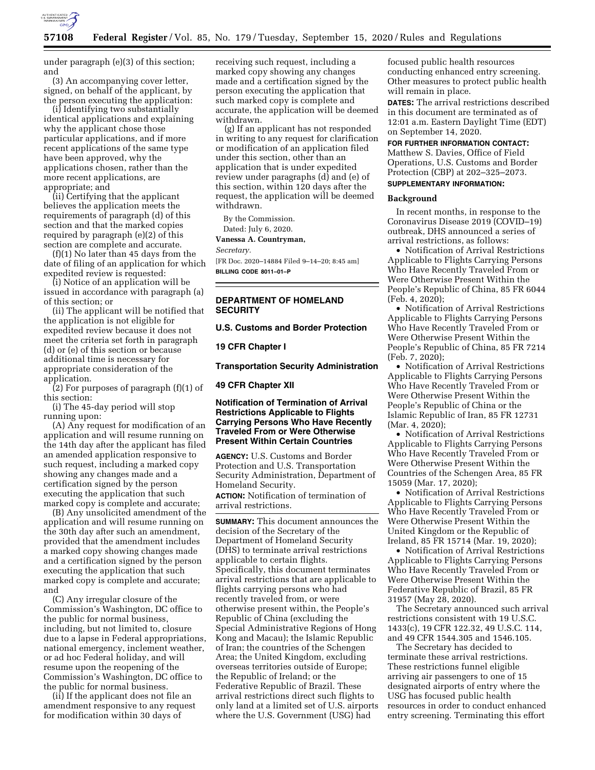

under paragraph (e)(3) of this section; and

(3) An accompanying cover letter, signed, on behalf of the applicant, by the person executing the application:

(i) Identifying two substantially identical applications and explaining why the applicant chose those particular applications, and if more recent applications of the same type have been approved, why the applications chosen, rather than the more recent applications, are appropriate; and

(ii) Certifying that the applicant believes the application meets the requirements of paragraph (d) of this section and that the marked copies required by paragraph (e)(2) of this section are complete and accurate.

(f)(1) No later than 45 days from the date of filing of an application for which expedited review is requested:

(i) Notice of an application will be issued in accordance with paragraph (a) of this section; or

(ii) The applicant will be notified that the application is not eligible for expedited review because it does not meet the criteria set forth in paragraph (d) or (e) of this section or because additional time is necessary for appropriate consideration of the application.

(2) For purposes of paragraph (f)(1) of this section:

(i) The 45-day period will stop running upon:

(A) Any request for modification of an application and will resume running on the 14th day after the applicant has filed an amended application responsive to such request, including a marked copy showing any changes made and a certification signed by the person executing the application that such marked copy is complete and accurate;

(B) Any unsolicited amendment of the application and will resume running on the 30th day after such an amendment, provided that the amendment includes a marked copy showing changes made and a certification signed by the person executing the application that such marked copy is complete and accurate; and

(C) Any irregular closure of the Commission's Washington, DC office to the public for normal business, including, but not limited to, closure due to a lapse in Federal appropriations, national emergency, inclement weather, or ad hoc Federal holiday, and will resume upon the reopening of the Commission's Washington, DC office to the public for normal business.

(ii) If the applicant does not file an amendment responsive to any request for modification within 30 days of

receiving such request, including a marked copy showing any changes made and a certification signed by the person executing the application that such marked copy is complete and accurate, the application will be deemed withdrawn.

(g) If an applicant has not responded in writing to any request for clarification or modification of an application filed under this section, other than an application that is under expedited review under paragraphs (d) and (e) of this section, within 120 days after the request, the application will be deemed withdrawn.

By the Commission.

Dated: July 6, 2020.

**Vanessa A. Countryman,** 

#### *Secretary.*

[FR Doc. 2020–14884 Filed 9–14–20; 8:45 am] **BILLING CODE 8011–01–P** 

## **DEPARTMENT OF HOMELAND SECURITY**

#### **U.S. Customs and Border Protection**

**19 CFR Chapter I** 

**Transportation Security Administration** 

### **49 CFR Chapter XII**

## **Notification of Termination of Arrival Restrictions Applicable to Flights Carrying Persons Who Have Recently Traveled From or Were Otherwise Present Within Certain Countries**

**AGENCY:** U.S. Customs and Border Protection and U.S. Transportation Security Administration, Department of Homeland Security.

**ACTION:** Notification of termination of arrival restrictions.

**SUMMARY:** This document announces the decision of the Secretary of the Department of Homeland Security (DHS) to terminate arrival restrictions applicable to certain flights. Specifically, this document terminates arrival restrictions that are applicable to flights carrying persons who had recently traveled from, or were otherwise present within, the People's Republic of China (excluding the Special Administrative Regions of Hong Kong and Macau); the Islamic Republic of Iran; the countries of the Schengen Area; the United Kingdom, excluding overseas territories outside of Europe; the Republic of Ireland; or the Federative Republic of Brazil. These arrival restrictions direct such flights to only land at a limited set of U.S. airports where the U.S. Government (USG) had

focused public health resources conducting enhanced entry screening. Other measures to protect public health will remain in place.

**DATES:** The arrival restrictions described in this document are terminated as of 12:01 a.m. Eastern Daylight Time (EDT) on September 14, 2020.

## **FOR FURTHER INFORMATION CONTACT:**

Matthew S. Davies, Office of Field Operations, U.S. Customs and Border Protection (CBP) at 202–325–2073. **SUPPLEMENTARY INFORMATION:** 

#### **Background**

In recent months, in response to the Coronavirus Disease 2019 (COVID–19) outbreak, DHS announced a series of arrival restrictions, as follows:

• Notification of Arrival Restrictions Applicable to Flights Carrying Persons Who Have Recently Traveled From or Were Otherwise Present Within the People's Republic of China, 85 FR 6044 (Feb. 4, 2020);

• Notification of Arrival Restrictions Applicable to Flights Carrying Persons Who Have Recently Traveled From or Were Otherwise Present Within the People's Republic of China, 85 FR 7214 (Feb. 7, 2020);

• Notification of Arrival Restrictions Applicable to Flights Carrying Persons Who Have Recently Traveled From or Were Otherwise Present Within the People's Republic of China or the Islamic Republic of Iran, 85 FR 12731 (Mar. 4, 2020);

• Notification of Arrival Restrictions Applicable to Flights Carrying Persons Who Have Recently Traveled From or Were Otherwise Present Within the Countries of the Schengen Area, 85 FR 15059 (Mar. 17, 2020);

• Notification of Arrival Restrictions Applicable to Flights Carrying Persons Who Have Recently Traveled From or Were Otherwise Present Within the United Kingdom or the Republic of Ireland, 85 FR 15714 (Mar. 19, 2020);

• Notification of Arrival Restrictions Applicable to Flights Carrying Persons Who Have Recently Traveled From or Were Otherwise Present Within the Federative Republic of Brazil, 85 FR 31957 (May 28, 2020).

The Secretary announced such arrival restrictions consistent with 19 U.S.C. 1433(c), 19 CFR 122.32, 49 U.S.C. 114, and 49 CFR 1544.305 and 1546.105.

The Secretary has decided to terminate these arrival restrictions. These restrictions funnel eligible arriving air passengers to one of 15 designated airports of entry where the USG has focused public health resources in order to conduct enhanced entry screening. Terminating this effort